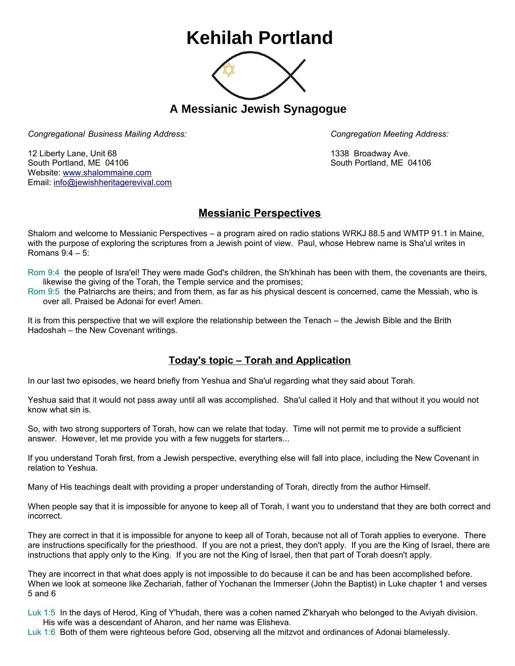## **Kehilah Portland**



**A Messianic Jewish Synagogue** 

*Congregational Business Mailing Address: Congregation Meeting Address:*

12 Liberty Lane, Unit 68 1338 Broadway Ave. South Portland, ME 04106 South Portland, ME 04106 Website: [www.shalommaine.com](http://www.shalommaine.com/) Email: [info@jewishheritagerevival.com](mailto:info@jewishheritagerevival.com) 

## **Messianic Perspectives**

Shalom and welcome to Messianic Perspectives – a program aired on radio stations WRKJ 88.5 and WMTP 91.1 in Maine, with the purpose of exploring the scriptures from a Jewish point of view. Paul, whose Hebrew name is Sha'ul writes in Romans 9:4 – 5:

Rom 9:4 the people of Isra'el! They were made God's children, the Sh'khinah has been with them, the covenants are theirs, likewise the giving of the Torah, the Temple service and the promises;

Rom 9:5 the Patriarchs are theirs; and from them, as far as his physical descent is concerned, came the Messiah, who is over all. Praised be Adonai for ever! Amen.

It is from this perspective that we will explore the relationship between the Tenach – the Jewish Bible and the Brith Hadoshah – the New Covenant writings.

## **Today's topic – Torah and Application**

In our last two episodes, we heard briefly from Yeshua and Sha'ul regarding what they said about Torah.

Yeshua said that it would not pass away until all was accomplished. Sha'ul called it Holy and that without it you would not know what sin is.

So, with two strong supporters of Torah, how can we relate that today. Time will not permit me to provide a sufficient answer. However, let me provide you with a few nuggets for starters...

If you understand Torah first, from a Jewish perspective, everything else will fall into place, including the New Covenant in relation to Yeshua.

Many of His teachings dealt with providing a proper understanding of Torah, directly from the author Himself.

When people say that it is impossible for anyone to keep all of Torah, I want you to understand that they are both correct and incorrect.

They are correct in that it is impossible for anyone to keep all of Torah, because not all of Torah applies to everyone. There are instructions specifically for the priesthood. If you are not a priest, they don't apply. If you are the King of Israel, there are instructions that apply only to the King. If you are not the King of Israel, then that part of Torah doesn't apply.

They are incorrect in that what does apply is not impossible to do because it can be and has been accomplished before. When we look at someone like Zechariah, father of Yochanan the Immerser (John the Baptist) in Luke chapter 1 and verses 5 and 6

Luk 1:5 In the days of Herod, King of Y'hudah, there was a cohen named Z'kharyah who belonged to the Aviyah division. His wife was a descendant of Aharon, and her name was Elisheva.

Luk 1:6 Both of them were righteous before God, observing all the mitzvot and ordinances of Adonai blamelessly.